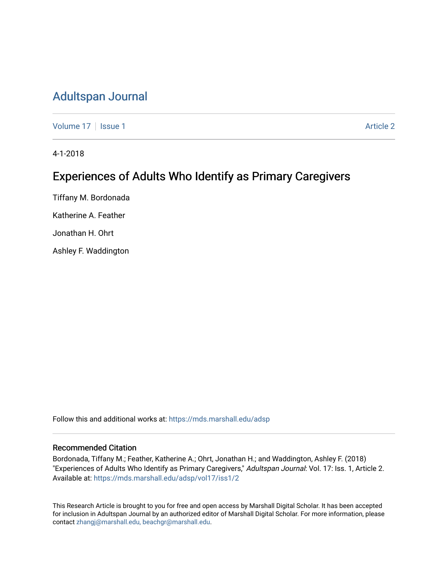# [Adultspan Journal](https://mds.marshall.edu/adsp)

[Volume 17](https://mds.marshall.edu/adsp/vol17) | [Issue 1](https://mds.marshall.edu/adsp/vol17/iss1) Article 2

4-1-2018

# Experiences of Adults Who Identify as Primary Caregivers

Tiffany M. Bordonada Katherine A. Feather Jonathan H. Ohrt Ashley F. Waddington

Follow this and additional works at: [https://mds.marshall.edu/adsp](https://mds.marshall.edu/adsp?utm_source=mds.marshall.edu%2Fadsp%2Fvol17%2Fiss1%2F2&utm_medium=PDF&utm_campaign=PDFCoverPages) 

# Recommended Citation

Bordonada, Tiffany M.; Feather, Katherine A.; Ohrt, Jonathan H.; and Waddington, Ashley F. (2018) "Experiences of Adults Who Identify as Primary Caregivers," Adultspan Journal: Vol. 17: Iss. 1, Article 2. Available at: [https://mds.marshall.edu/adsp/vol17/iss1/2](https://mds.marshall.edu/adsp/vol17/iss1/2?utm_source=mds.marshall.edu%2Fadsp%2Fvol17%2Fiss1%2F2&utm_medium=PDF&utm_campaign=PDFCoverPages) 

This Research Article is brought to you for free and open access by Marshall Digital Scholar. It has been accepted for inclusion in Adultspan Journal by an authorized editor of Marshall Digital Scholar. For more information, please contact [zhangj@marshall.edu, beachgr@marshall.edu](mailto:zhangj@marshall.edu,%20beachgr@marshall.edu).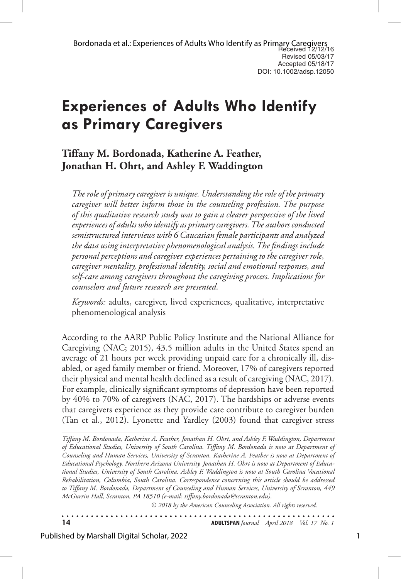# **Experiences of Adults Who Identify as Primary Caregivers**

# **Tiffany M. Bordonada, Katherine A. Feather, Jonathan H. Ohrt, and Ashley F. Waddington**

*The role of primary caregiver is unique. Understanding the role of the primary caregiver will better inform those in the counseling profession. The purpose of this qualitative research study was to gain a clearer perspective of the lived experiences of adults who identify as primary caregivers. The authors conducted semistructured interviews with 6 Caucasian female participants and analyzed the data using interpretative phenomenological analysis. The findings include personal perceptions and caregiver experiences pertaining to the caregiver role, caregiver mentality, professional identity, social and emotional responses, and self-care among caregivers throughout the caregiving process. Implications for counselors and future research are presented.* 

*Keywords:* adults, caregiver, lived experiences, qualitative, interpretative phenomenological analysis

According to the AARP Public Policy Institute and the National Alliance for Caregiving (NAC; 2015), 43.5 million adults in the United States spend an average of 21 hours per week providing unpaid care for a chronically ill, disabled, or aged family member or friend. Moreover, 17% of caregivers reported their physical and mental health declined as a result of caregiving (NAC, 2017). For example, clinically significant symptoms of depression have been reported by 40% to 70% of caregivers (NAC, 2017). The hardships or adverse events that caregivers experience as they provide care contribute to caregiver burden (Tan et al., 2012). Lyonette and Yardley (2003) found that caregiver stress

*Tiffany M. Bordonada, Katherine A. Feather, Jonathan H. Ohrt, and Ashley F. Waddington, Department of Educational Studies, University of South Carolina. Tiffany M. Bordonada is now at Department of Counseling and Human Services, University of Scranton. Katherine A. Feather is now at Department of Educational Psychology, Northern Arizona University. Jonathan H. Ohrt is now at Department of Educational Studies, University of South Carolina. Ashley F. Waddington is now at South Carolina Vocational Rehabilitation, Columbia, South Carolina. Correspondence concerning this article should be addressed to Tiffany M. Bordonada, Department of Counseling and Human Services, University of Scranton, 449 McGurrin Hall, Scranton, PA 18510 (e-mail: tiffany.bordonada@scranton.edu).* 

*© 2018 by the American Counseling Association. All rights reserved.*

. . . . . . . . . . . **14 ADULTSPAN***Journal April 2018 Vol. 17 No. 1*

#### Published by Marshall Digital Scholar, 2022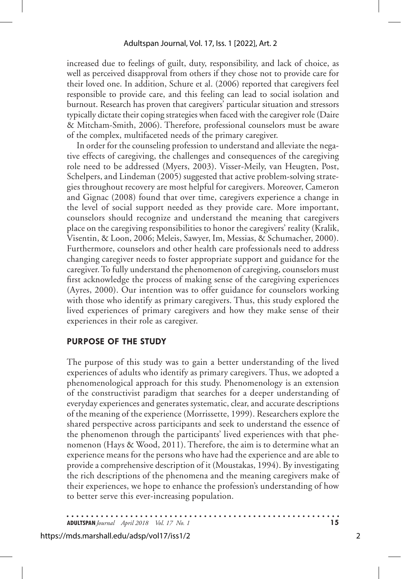increased due to feelings of guilt, duty, responsibility, and lack of choice, as well as perceived disapproval from others if they chose not to provide care for their loved one. In addition, Schure et al. (2006) reported that caregivers feel responsible to provide care, and this feeling can lead to social isolation and burnout. Research has proven that caregivers' particular situation and stressors typically dictate their coping strategies when faced with the caregiver role (Daire & Mitcham-Smith, 2006). Therefore, professional counselors must be aware of the complex, multifaceted needs of the primary caregiver.

In order for the counseling profession to understand and alleviate the negative effects of caregiving, the challenges and consequences of the caregiving role need to be addressed (Myers, 2003). Visser-Meily, van Heugten, Post, Schelpers, and Lindeman (2005) suggested that active problem-solving strategies throughout recovery are most helpful for caregivers. Moreover, Cameron and Gignac (2008) found that over time, caregivers experience a change in the level of social support needed as they provide care. More important, counselors should recognize and understand the meaning that caregivers place on the caregiving responsibilities to honor the caregivers' reality (Kralik, Visentin, & Loon, 2006; Meleis, Sawyer, Im, Messias, & Schumacher, 2000). Furthermore, counselors and other health care professionals need to address changing caregiver needs to foster appropriate support and guidance for the caregiver. To fully understand the phenomenon of caregiving, counselors must first acknowledge the process of making sense of the caregiving experiences (Ayres, 2000). Our intention was to offer guidance for counselors working with those who identify as primary caregivers. Thus, this study explored the lived experiences of primary caregivers and how they make sense of their experiences in their role as caregiver.

# **PURPOSE OF THE STUDY**

The purpose of this study was to gain a better understanding of the lived experiences of adults who identify as primary caregivers. Thus, we adopted a phenomenological approach for this study. Phenomenology is an extension of the constructivist paradigm that searches for a deeper understanding of everyday experiences and generates systematic, clear, and accurate descriptions of the meaning of the experience (Morrissette, 1999). Researchers explore the shared perspective across participants and seek to understand the essence of the phenomenon through the participants' lived experiences with that phenomenon (Hays & Wood, 2011). Therefore, the aim is to determine what an experience means for the persons who have had the experience and are able to provide a comprehensive description of it (Moustakas, 1994). By investigating the rich descriptions of the phenomena and the meaning caregivers make of their experiences, we hope to enhance the profession's understanding of how to better serve this ever-increasing population.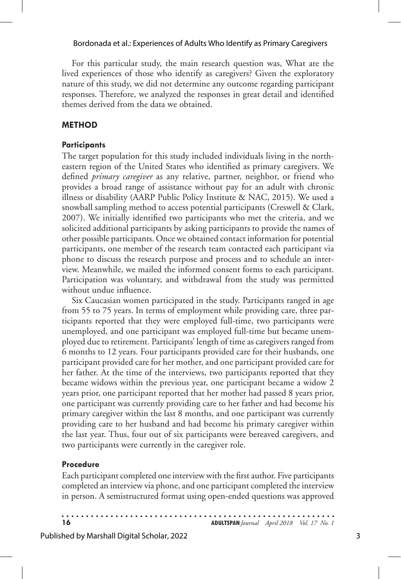For this particular study, the main research question was, What are the lived experiences of those who identify as caregivers? Given the exploratory nature of this study, we did not determine any outcome regarding participant responses. Therefore, we analyzed the responses in great detail and identified themes derived from the data we obtained.

#### **METHOD**

#### **Participants**

The target population for this study included individuals living in the northeastern region of the United States who identified as primary caregivers. We defined *primary caregiver* as any relative, partner, neighbor, or friend who provides a broad range of assistance without pay for an adult with chronic illness or disability (AARP Public Policy Institute & NAC, 2015). We used a snowball sampling method to access potential participants (Creswell & Clark, 2007). We initially identified two participants who met the criteria, and we solicited additional participants by asking participants to provide the names of other possible participants. Once we obtained contact information for potential participants, one member of the research team contacted each participant via phone to discuss the research purpose and process and to schedule an interview. Meanwhile, we mailed the informed consent forms to each participant. Participation was voluntary, and withdrawal from the study was permitted without undue influence.

Six Caucasian women participated in the study. Participants ranged in age from 55 to 75 years. In terms of employment while providing care, three participants reported that they were employed full-time, two participants were unemployed, and one participant was employed full-time but became unemployed due to retirement. Participants' length of time as caregivers ranged from 6 months to 12 years. Four participants provided care for their husbands, one participant provided care for her mother, and one participant provided care for her father. At the time of the interviews, two participants reported that they became widows within the previous year, one participant became a widow 2 years prior, one participant reported that her mother had passed 8 years prior, one participant was currently providing care to her father and had become his primary caregiver within the last 8 months, and one participant was currently providing care to her husband and had become his primary caregiver within the last year. Thus, four out of six participants were bereaved caregivers, and two participants were currently in the caregiver role.

#### **Procedure**

Each participant completed one interview with the first author. Five participants completed an interview via phone, and one participant completed the interview in person. A semistructured format using open-ended questions was approved

| -16 | <b>ADULTSPAN</b> Journal April 2018 Vol. 17 No. 1 |  |
|-----|---------------------------------------------------|--|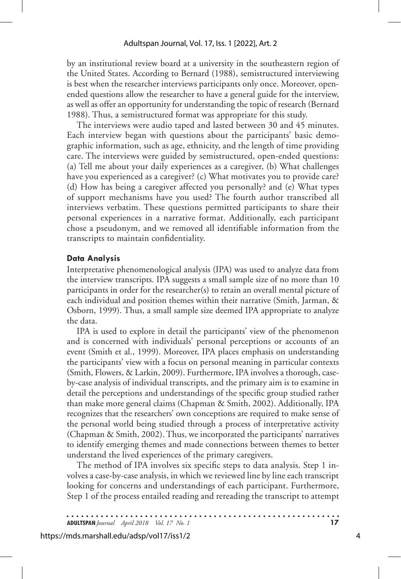by an institutional review board at a university in the southeastern region of the United States. According to Bernard (1988), semistructured interviewing is best when the researcher interviews participants only once. Moreover, openended questions allow the researcher to have a general guide for the interview, as well as offer an opportunity for understanding the topic of research (Bernard 1988). Thus, a semistructured format was appropriate for this study.

The interviews were audio taped and lasted between 30 and 45 minutes. Each interview began with questions about the participants' basic demographic information, such as age, ethnicity, and the length of time providing care. The interviews were guided by semistructured, open-ended questions: (a) Tell me about your daily experiences as a caregiver, (b) What challenges have you experienced as a caregiver? (c) What motivates you to provide care? (d) How has being a caregiver affected you personally? and (e) What types of support mechanisms have you used? The fourth author transcribed all interviews verbatim. These questions permitted participants to share their personal experiences in a narrative format. Additionally, each participant chose a pseudonym, and we removed all identifiable information from the transcripts to maintain confidentiality.

#### **Data Analysis**

Interpretative phenomenological analysis (IPA) was used to analyze data from the interview transcripts. IPA suggests a small sample size of no more than 10 participants in order for the researcher(s) to retain an overall mental picture of each individual and position themes within their narrative (Smith, Jarman, & Osborn, 1999). Thus, a small sample size deemed IPA appropriate to analyze the data.

IPA is used to explore in detail the participants' view of the phenomenon and is concerned with individuals' personal perceptions or accounts of an event (Smith et al., 1999). Moreover, IPA places emphasis on understanding the participants' view with a focus on personal meaning in particular contexts (Smith, Flowers, & Larkin, 2009). Furthermore, IPA involves a thorough, caseby-case analysis of individual transcripts, and the primary aim is to examine in detail the perceptions and understandings of the specific group studied rather than make more general claims (Chapman & Smith, 2002). Additionally, IPA recognizes that the researchers' own conceptions are required to make sense of the personal world being studied through a process of interpretative activity (Chapman & Smith, 2002). Thus, we incorporated the participants' narratives to identify emerging themes and made connections between themes to better understand the lived experiences of the primary caregivers.

The method of IPA involves six specific steps to data analysis. Step 1 involves a case-by-case analysis, in which we reviewed line by line each transcript looking for concerns and understandings of each participant. Furthermore, Step 1 of the process entailed reading and rereading the transcript to attempt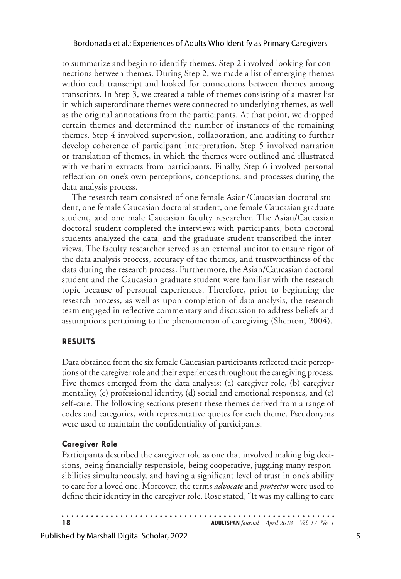to summarize and begin to identify themes. Step 2 involved looking for connections between themes. During Step 2, we made a list of emerging themes within each transcript and looked for connections between themes among transcripts. In Step 3, we created a table of themes consisting of a master list in which superordinate themes were connected to underlying themes, as well as the original annotations from the participants. At that point, we dropped certain themes and determined the number of instances of the remaining themes. Step 4 involved supervision, collaboration, and auditing to further develop coherence of participant interpretation. Step 5 involved narration or translation of themes, in which the themes were outlined and illustrated with verbatim extracts from participants. Finally, Step 6 involved personal reflection on one's own perceptions, conceptions, and processes during the data analysis process.

The research team consisted of one female Asian/Caucasian doctoral student, one female Caucasian doctoral student, one female Caucasian graduate student, and one male Caucasian faculty researcher. The Asian/Caucasian doctoral student completed the interviews with participants, both doctoral students analyzed the data, and the graduate student transcribed the interviews. The faculty researcher served as an external auditor to ensure rigor of the data analysis process, accuracy of the themes, and trustworthiness of the data during the research process. Furthermore, the Asian/Caucasian doctoral student and the Caucasian graduate student were familiar with the research topic because of personal experiences. Therefore, prior to beginning the research process, as well as upon completion of data analysis, the research team engaged in reflective commentary and discussion to address beliefs and assumptions pertaining to the phenomenon of caregiving (Shenton, 2004).

# **RESULTS**

Data obtained from the six female Caucasian participants reflected their perceptions of the caregiver role and their experiences throughout the caregiving process. Five themes emerged from the data analysis: (a) caregiver role, (b) caregiver mentality, (c) professional identity, (d) social and emotional responses, and (e) self-care. The following sections present these themes derived from a range of codes and categories, with representative quotes for each theme. Pseudonyms were used to maintain the confidentiality of participants.

# **Caregiver Role**

Participants described the caregiver role as one that involved making big decisions, being financially responsible, being cooperative, juggling many responsibilities simultaneously, and having a significant level of trust in one's ability to care for a loved one. Moreover, the terms *advocate* and *protector* were used to define their identity in the caregiver role. Rose stated, "It was my calling to care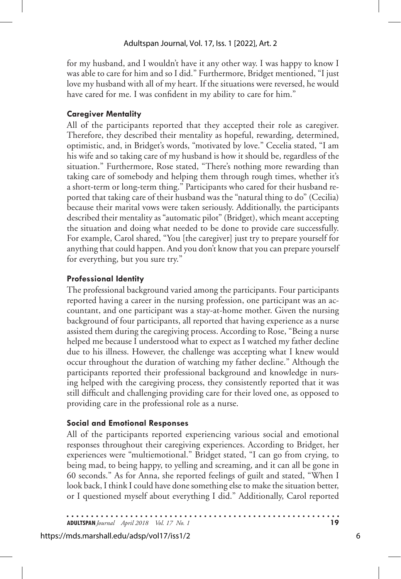for my husband, and I wouldn't have it any other way. I was happy to know I was able to care for him and so I did." Furthermore, Bridget mentioned, "I just love my husband with all of my heart. If the situations were reversed, he would have cared for me. I was confident in my ability to care for him."

# **Caregiver Mentality**

All of the participants reported that they accepted their role as caregiver. Therefore, they described their mentality as hopeful, rewarding, determined, optimistic, and, in Bridget's words, "motivated by love." Cecelia stated, "I am his wife and so taking care of my husband is how it should be, regardless of the situation." Furthermore, Rose stated, "There's nothing more rewarding than taking care of somebody and helping them through rough times, whether it's a short-term or long-term thing." Participants who cared for their husband reported that taking care of their husband was the "natural thing to do" (Cecilia) because their marital vows were taken seriously. Additionally, the participants described their mentality as "automatic pilot" (Bridget), which meant accepting the situation and doing what needed to be done to provide care successfully. For example, Carol shared, "You [the caregiver] just try to prepare yourself for anything that could happen. And you don't know that you can prepare yourself for everything, but you sure try."

# **Professional Identity**

The professional background varied among the participants. Four participants reported having a career in the nursing profession, one participant was an accountant, and one participant was a stay-at-home mother. Given the nursing background of four participants, all reported that having experience as a nurse assisted them during the caregiving process. According to Rose, "Being a nurse helped me because I understood what to expect as I watched my father decline due to his illness. However, the challenge was accepting what I knew would occur throughout the duration of watching my father decline." Although the participants reported their professional background and knowledge in nursing helped with the caregiving process, they consistently reported that it was still difficult and challenging providing care for their loved one, as opposed to providing care in the professional role as a nurse.

# **Social and Emotional Responses**

All of the participants reported experiencing various social and emotional responses throughout their caregiving experiences. According to Bridget, her experiences were "multiemotional." Bridget stated, "I can go from crying, to being mad, to being happy, to yelling and screaming, and it can all be gone in 60 seconds." As for Anna, she reported feelings of guilt and stated, "When I look back, I think I could have done something else to make the situation better, or I questioned myself about everything I did." Additionally, Carol reported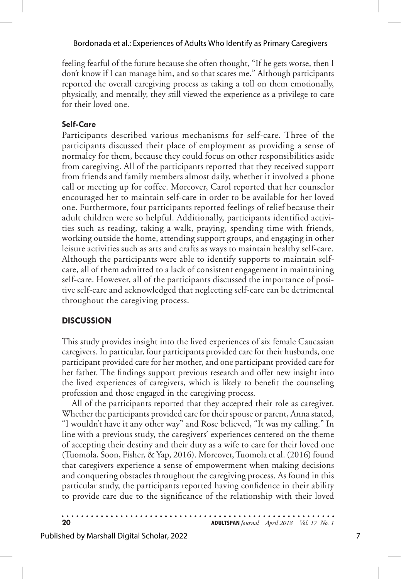feeling fearful of the future because she often thought, "If he gets worse, then I don't know if I can manage him, and so that scares me." Although participants reported the overall caregiving process as taking a toll on them emotionally, physically, and mentally, they still viewed the experience as a privilege to care for their loved one.

# **Self-Care**

Participants described various mechanisms for self-care. Three of the participants discussed their place of employment as providing a sense of normalcy for them, because they could focus on other responsibilities aside from caregiving. All of the participants reported that they received support from friends and family members almost daily, whether it involved a phone call or meeting up for coffee. Moreover, Carol reported that her counselor encouraged her to maintain self-care in order to be available for her loved one. Furthermore, four participants reported feelings of relief because their adult children were so helpful. Additionally, participants identified activities such as reading, taking a walk, praying, spending time with friends, working outside the home, attending support groups, and engaging in other leisure activities such as arts and crafts as ways to maintain healthy self-care. Although the participants were able to identify supports to maintain selfcare, all of them admitted to a lack of consistent engagement in maintaining self-care. However, all of the participants discussed the importance of positive self-care and acknowledged that neglecting self-care can be detrimental throughout the caregiving process.

# **DISCUSSION**

This study provides insight into the lived experiences of six female Caucasian caregivers. In particular, four participants provided care for their husbands, one participant provided care for her mother, and one participant provided care for her father. The findings support previous research and offer new insight into the lived experiences of caregivers, which is likely to benefit the counseling profession and those engaged in the caregiving process.

All of the participants reported that they accepted their role as caregiver. Whether the participants provided care for their spouse or parent, Anna stated, "I wouldn't have it any other way" and Rose believed, "It was my calling." In line with a previous study, the caregivers' experiences centered on the theme of accepting their destiny and their duty as a wife to care for their loved one (Tuomola, Soon, Fisher, & Yap, 2016). Moreover, Tuomola et al. (2016) found that caregivers experience a sense of empowerment when making decisions and conquering obstacles throughout the caregiving process. As found in this particular study, the participants reported having confidence in their ability to provide care due to the significance of the relationship with their loved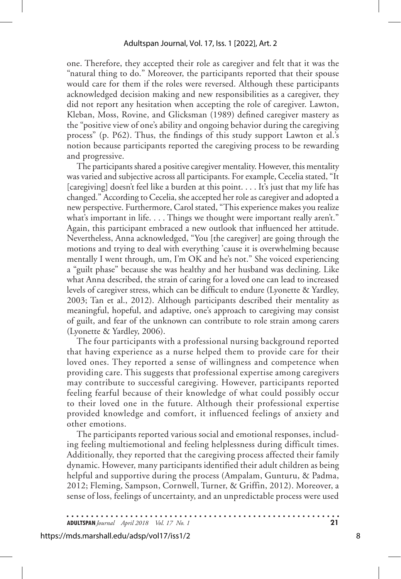one. Therefore, they accepted their role as caregiver and felt that it was the "natural thing to do." Moreover, the participants reported that their spouse would care for them if the roles were reversed. Although these participants acknowledged decision making and new responsibilities as a caregiver, they did not report any hesitation when accepting the role of caregiver. Lawton, Kleban, Moss, Rovine, and Glicksman (1989) defined caregiver mastery as the "positive view of one's ability and ongoing behavior during the caregiving process" (p. P62). Thus, the findings of this study support Lawton et al.'s notion because participants reported the caregiving process to be rewarding and progressive.

The participants shared a positive caregiver mentality. However, this mentality was varied and subjective across all participants. For example, Cecelia stated, "It [caregiving] doesn't feel like a burden at this point.  $\ldots$  It's just that my life has changed." According to Cecelia, she accepted her role as caregiver and adopted a new perspective. Furthermore, Carol stated, "This experience makes you realize what's important in life. . . . Things we thought were important really aren't." Again, this participant embraced a new outlook that influenced her attitude. Nevertheless, Anna acknowledged, "You [the caregiver] are going through the motions and trying to deal with everything 'cause it is overwhelming because mentally I went through, um, I'm OK and he's not." She voiced experiencing a "guilt phase" because she was healthy and her husband was declining. Like what Anna described, the strain of caring for a loved one can lead to increased levels of caregiver stress, which can be difficult to endure (Lyonette & Yardley, 2003; Tan et al., 2012). Although participants described their mentality as meaningful, hopeful, and adaptive, one's approach to caregiving may consist of guilt, and fear of the unknown can contribute to role strain among carers (Lyonette & Yardley, 2006).

The four participants with a professional nursing background reported that having experience as a nurse helped them to provide care for their loved ones. They reported a sense of willingness and competence when providing care. This suggests that professional expertise among caregivers may contribute to successful caregiving. However, participants reported feeling fearful because of their knowledge of what could possibly occur to their loved one in the future. Although their professional expertise provided knowledge and comfort, it influenced feelings of anxiety and other emotions.

The participants reported various social and emotional responses, including feeling multiemotional and feeling helplessness during difficult times. Additionally, they reported that the caregiving process affected their family dynamic. However, many participants identified their adult children as being helpful and supportive during the process (Ampalam, Gunturu, & Padma, 2012; Fleming, Sampson, Cornwell, Turner, & Griffin, 2012). Moreover, a sense of loss, feelings of uncertainty, and an unpredictable process were used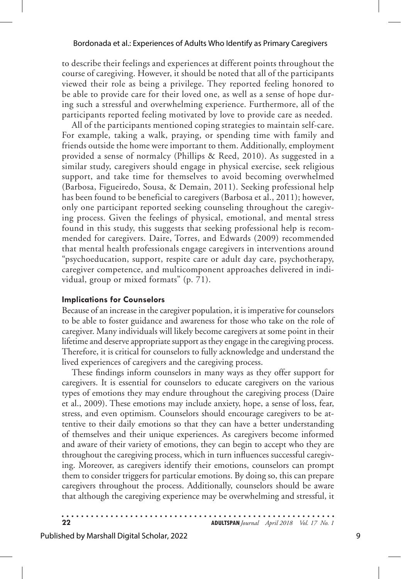to describe their feelings and experiences at different points throughout the course of caregiving. However, it should be noted that all of the participants viewed their role as being a privilege. They reported feeling honored to be able to provide care for their loved one, as well as a sense of hope during such a stressful and overwhelming experience. Furthermore, all of the participants reported feeling motivated by love to provide care as needed.

All of the participants mentioned coping strategies to maintain self-care. For example, taking a walk, praying, or spending time with family and friends outside the home were important to them. Additionally, employment provided a sense of normalcy (Phillips & Reed, 2010). As suggested in a similar study, caregivers should engage in physical exercise, seek religious support, and take time for themselves to avoid becoming overwhelmed (Barbosa, Figueiredo, Sousa, & Demain, 2011). Seeking professional help has been found to be beneficial to caregivers (Barbosa et al., 2011); however, only one participant reported seeking counseling throughout the caregiving process. Given the feelings of physical, emotional, and mental stress found in this study, this suggests that seeking professional help is recommended for caregivers. Daire, Torres, and Edwards (2009) recommended that mental health professionals engage caregivers in interventions around "psychoeducation, support, respite care or adult day care, psychotherapy, caregiver competence, and multicomponent approaches delivered in individual, group or mixed formats" (p. 71).

# **Implications for Counselors**

Because of an increase in the caregiver population, it is imperative for counselors to be able to foster guidance and awareness for those who take on the role of caregiver. Many individuals will likely become caregivers at some point in their lifetime and deserve appropriate support as they engage in the caregiving process. Therefore, it is critical for counselors to fully acknowledge and understand the lived experiences of caregivers and the caregiving process.

These findings inform counselors in many ways as they offer support for caregivers. It is essential for counselors to educate caregivers on the various types of emotions they may endure throughout the caregiving process (Daire et al., 2009). These emotions may include anxiety, hope, a sense of loss, fear, stress, and even optimism. Counselors should encourage caregivers to be attentive to their daily emotions so that they can have a better understanding of themselves and their unique experiences. As caregivers become informed and aware of their variety of emotions, they can begin to accept who they are throughout the caregiving process, which in turn influences successful caregiving. Moreover, as caregivers identify their emotions, counselors can prompt them to consider triggers for particular emotions. By doing so, this can prepare caregivers throughout the process. Additionally, counselors should be aware that although the caregiving experience may be overwhelming and stressful, it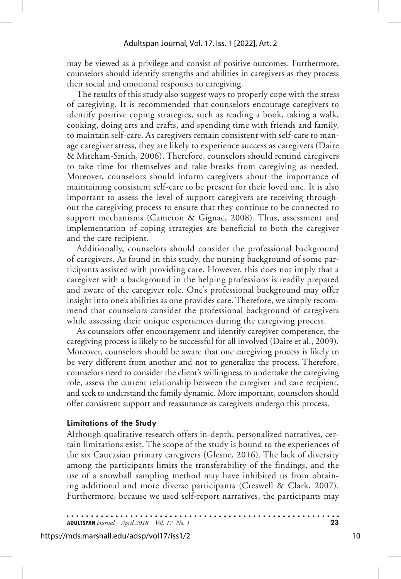may be viewed as a privilege and consist of positive outcomes. Furthermore, counselors should identify strengths and abilities in caregivers as they process their social and emotional responses to caregiving.

The results of this study also suggest ways to properly cope with the stress of caregiving. It is recommended that counselors encourage caregivers to identify positive coping strategies, such as reading a book, taking a walk, cooking, doing arts and crafts, and spending time with friends and family, to maintain self-care. As caregivers remain consistent with self-care to manage caregiver stress, they are likely to experience success as caregivers (Daire & Mitcham-Smith, 2006). Therefore, counselors should remind caregivers to take time for themselves and take breaks from caregiving as needed. Moreover, counselors should inform caregivers about the importance of maintaining consistent self-care to be present for their loved one. It is also important to assess the level of support caregivers are receiving throughout the caregiving process to ensure that they continue to be connected to support mechanisms (Cameron & Gignac, 2008). Thus, assessment and implementation of coping strategies are beneficial to both the caregiver and the care recipient.

Additionally, counselors should consider the professional background of caregivers. As found in this study, the nursing background of some participants assisted with providing care. However, this does not imply that a caregiver with a background in the helping professions is readily prepared and aware of the caregiver role. One's professional background may offer insight into one's abilities as one provides care. Therefore, we simply recommend that counselors consider the professional background of caregivers while assessing their unique experiences during the caregiving process.

As counselors offer encouragement and identify caregiver competence, the caregiving process is likely to be successful for all involved (Daire et al., 2009). Moreover, counselors should be aware that one caregiving process is likely to be very different from another and not to generalize the process. Therefore, counselors need to consider the client's willingness to undertake the caregiving role, assess the current relationship between the caregiver and care recipient, and seek to understand the family dynamic. More important, counselors should offer consistent support and reassurance as caregivers undergo this process.

# **Limitations of the Study**

Although qualitative research offers in-depth, personalized narratives, certain limitations exist. The scope of the study is bound to the experiences of the six Caucasian primary caregivers (Glesne, 2016). The lack of diversity among the participants limits the transferability of the findings, and the use of a snowball sampling method may have inhibited us from obtaining additional and more diverse participants (Creswell & Clark, 2007). Furthermore, because we used self-report narratives, the participants may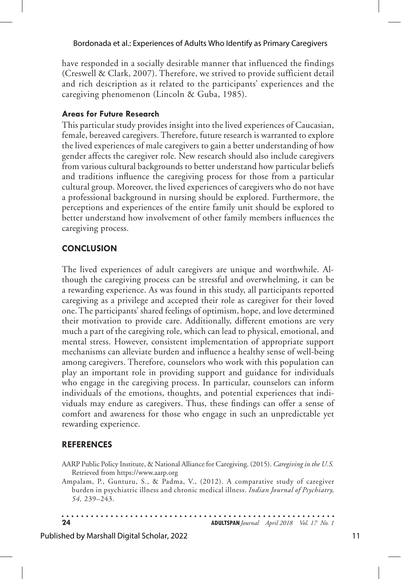have responded in a socially desirable manner that influenced the findings (Creswell & Clark, 2007). Therefore, we strived to provide sufficient detail and rich description as it related to the participants' experiences and the caregiving phenomenon (Lincoln & Guba, 1985).

# **Areas for Future Research**

This particular study provides insight into the lived experiences of Caucasian, female, bereaved caregivers. Therefore, future research is warranted to explore the lived experiences of male caregivers to gain a better understanding of how gender affects the caregiver role. New research should also include caregivers from various cultural backgrounds to better understand how particular beliefs and traditions influence the caregiving process for those from a particular cultural group. Moreover, the lived experiences of caregivers who do not have a professional background in nursing should be explored. Furthermore, the perceptions and experiences of the entire family unit should be explored to better understand how involvement of other family members influences the caregiving process.

# **CONCLUSION**

The lived experiences of adult caregivers are unique and worthwhile. Although the caregiving process can be stressful and overwhelming, it can be a rewarding experience. As was found in this study, all participants reported caregiving as a privilege and accepted their role as caregiver for their loved one. The participants' shared feelings of optimism, hope, and love determined their motivation to provide care. Additionally, different emotions are very much a part of the caregiving role, which can lead to physical, emotional, and mental stress. However, consistent implementation of appropriate support mechanisms can alleviate burden and influence a healthy sense of well-being among caregivers. Therefore, counselors who work with this population can play an important role in providing support and guidance for individuals who engage in the caregiving process. In particular, counselors can inform individuals of the emotions, thoughts, and potential experiences that individuals may endure as caregivers. Thus, these findings can offer a sense of comfort and awareness for those who engage in such an unpredictable yet rewarding experience.

# **REFERENCES**

| AARP Public Policy Institute, & National Alliance for Caregiving. (2015). Caregiving in the U.S. |  |
|--------------------------------------------------------------------------------------------------|--|
| Retrieved from https://www.aarp.org                                                              |  |

Ampalam, P., Gunturu, S., & Padma, V., (2012). A comparative study of caregiver burden in psychiatric illness and chronic medical illness. *Indian Journal of Psychiatry, 54,* 239–243.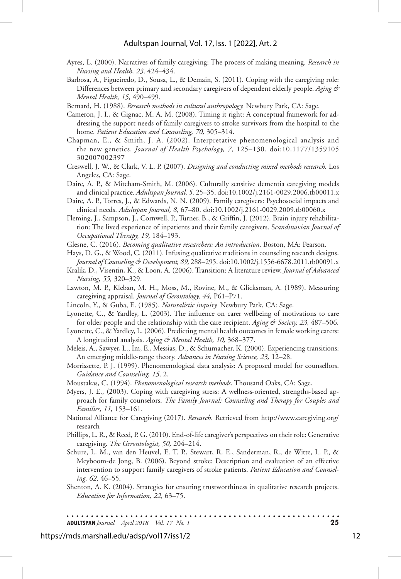- Ayres, L. (2000). Narratives of family caregiving: The process of making meaning. *Research in Nursing and Health, 23,* 424–434.
- Barbosa, A., Figueiredo, D., Sousa, L., & Demain, S. (2011). Coping with the caregiving role: Differences between primary and secondary caregivers of dependent elderly people. *Aging & Mental Health, 15,* 490–499.
- Bernard, H. (1988). *Research methods in cultural anthropology.* Newbury Park, CA: Sage.
- Cameron, J. I., & Gignac, M. A. M. (2008). Timing it right: A conceptual framework for addressing the support needs of family caregivers to stroke survivors from the hospital to the home. *Patient Education and Counseling, 70,* 305–314.
- Chapman, E., & Smith, J. A. (2002). Interpretative phenomenological analysis and the new genetics. *Journal of Health Psychology, 7,* 125–130. doi:10.1177/1359105 302007002397
- Creswell, J. W., & Clark, V. L. P. (2007). *Designing and conducting mixed methods research.* Los Angeles, CA: Sage.
- Daire, A. P., & Mitcham-Smith, M. (2006). Culturally sensitive dementia caregiving models and clinical practice. *Adultspan Journal, 5,* 25–35. doi:10.1002/j.2161-0029.2006.tb00011.x
- Daire, A. P., Torres, J., & Edwards, N. N. (2009). Family caregivers: Psychosocial impacts and clinical needs. *Adultspan Journal, 8,* 67–80. doi:10.1002/j.2161-0029.2009.tb00060.x
- Fleming, J., Sampson, J., Cornwell, P., Turner, B., & Griffin, J. (2012). Brain injury rehabilitation: The lived experience of inpatients and their family caregivers. S*candinavian Journal of Occupational Therapy, 19,* 184–193.
- Glesne, C. (2016). *Becoming qualitative researchers: An introduction*. Boston, MA: Pearson.
- Hays, D. G., & Wood, C. (2011). Infusing qualitative traditions in counseling research designs. *Journal of Counseling & Development, 89,* 288–295. doi:10.1002/j.1556-6678.2011.tb00091.x
- Kralik, D., Visentin, K., & Loon, A. (2006). Transition: A literature review. *Journal of Advanced Nursing, 55,* 320–329.
- Lawton, M. P., Kleban, M. H., Moss, M., Rovine, M., & Glicksman, A. (1989). Measuring caregiving appraisal. *Journal of Gerontology, 44,* P61–P71.
- Lincoln, Y., & Guba, E. (1985). *Naturalistic inquiry.* Newbury Park, CA: Sage.
- Lyonette, C., & Yardley, L. (2003). The influence on carer wellbeing of motivations to care for older people and the relationship with the care recipient. *Aging & Society, 23,* 487–506.
- Lyonette, C., & Yardley, L. (2006). Predicting mental health outcomes in female working carers: A longitudinal analysis. *Aging & Mental Health, 10,* 368–377.
- Meleis, A., Sawyer, L., Im, E., Messias, D., & Schumacher, K. (2000). Experiencing transitions: An emerging middle-range theory. *Advances in Nursing Science, 23,* 12–28.
- Morrissette, P. J. (1999). Phenomenological data analysis: A proposed model for counsellors. *Guidance and Counseling, 15,* 2.
- Moustakas, C. (1994). *Phenomenological research methods*. Thousand Oaks, CA: Sage.
- Myers, J. E., (2003). Coping with caregiving stress: A wellness-oriented, strengths-based approach for family counselors. *The Family Journal: Counseling and Therapy for Couples and Families, 11,* 153–161.
- National Alliance for Caregiving (2017). *Research*. Retrieved from http://www.caregiving.org/ research
- Phillips, L. R., & Reed, P. G. (2010). End-of-life caregiver's perspectives on their role: Generative caregiving. *The Gerontologist, 50,* 204–214.
- Schure, L. M., van den Heuvel, E. T. P., Stewart, R. E., Sanderman, R., de Witte, L. P., & Meyboom-de Jong, B. (2006). Beyond stroke: Description and evaluation of an effective intervention to support family caregivers of stroke patients. *Patient Education and Counseling, 62,* 46–55.
- Shenton, A. K. (2004). Strategies for ensuring trustworthiness in qualitative research projects. *Education for Information, 22,* 63–75.

. . . . . . . . . . . . . . . . . . . . **ADULTSPAN***Journal April 2018 Vol. 17 No. 1* **25**